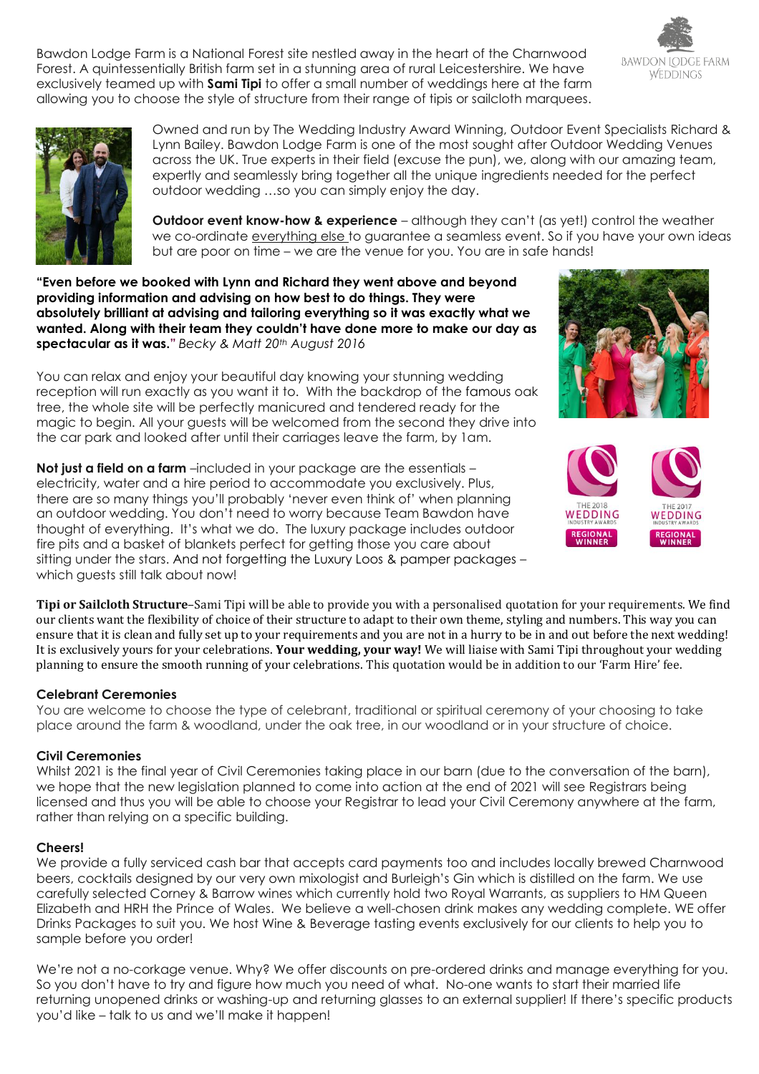Bawdon Lodge Farm is a National Forest site nestled away in the heart of the Charnwood Forest. A quintessentially British farm set in a stunning area of rural Leicestershire. We have exclusively teamed up with **Sami Tipi** to offer a small number of weddings here at the farm allowing you to choose the style of structure from their range of tipis or sailcloth marquees.





Owned and run by The Wedding Industry Award Winning, Outdoor Event Specialists Richard & Lynn Bailey. Bawdon Lodge Farm is one of the most sought after Outdoor Wedding Venues across the UK. True experts in their field (excuse the pun), we, along with our amazing team, expertly and seamlessly bring together all the unique ingredients needed for the perfect outdoor wedding …so you can simply enjoy the day.

**Outdoor event know-how & experience** – although they can't (as yet!) control the weather we co-ordinate everything else to guarantee a seamless event. So if you have your own ideas but are poor on time – we are the venue for you. You are in safe hands!

**"Even before we booked with Lynn and Richard they went above and beyond providing information and advising on how best to do things. They were absolutely brilliant at advising and tailoring everything so it was exactly what we wanted. Along with their team they couldn't have done more to make our day as spectacular as it was."** *Becky & Matt 20th August 2016* 

You can relax and enjoy your beautiful day knowing your stunning wedding reception will run exactly as you want it to. With the backdrop of the famous oak tree, the whole site will be perfectly manicured and tendered ready for the magic to begin. All your guests will be welcomed from the second they drive into the car park and looked after until their carriages leave the farm, by 1am.

**Not iust a field on a farm** –included in your package are the essentials – electricity, water and a hire period to accommodate you exclusively. Plus, there are so many things you'll probably 'never even think of' when planning an outdoor wedding. You don't need to worry because Team Bawdon have thought of everything. It's what we do. The luxury package includes outdoor fire pits and a basket of blankets perfect for getting those you care about sitting under the stars. And not forgetting the Luxury Loos & pamper packages – which guests still talk about now!





**Tipi or Sailcloth Structure**–Sami Tipi will be able to provide you with a personalised quotation for your requirements. We find our clients want the flexibility of choice of their structure to adapt to their own theme, styling and numbers. This way you can ensure that it is clean and fully set up to your requirements and you are not in a hurry to be in and out before the next wedding! It is exclusively yours for your celebrations. **Your wedding, your way!** We will liaise with Sami Tipi throughout your wedding planning to ensure the smooth running of your celebrations. This quotation would be in addition to our 'Farm Hire' fee.

## **Celebrant Ceremonies**

You are welcome to choose the type of celebrant, traditional or spiritual ceremony of your choosing to take place around the farm & woodland, under the oak tree, in our woodland or in your structure of choice.

## **Civil Ceremonies**

Whilst 2021 is the final year of Civil Ceremonies taking place in our barn (due to the conversation of the barn), we hope that the new legislation planned to come into action at the end of 2021 will see Registrars being licensed and thus you will be able to choose your Registrar to lead your Civil Ceremony anywhere at the farm, rather than relying on a specific building.

## **Cheers!**

We provide a fully serviced cash bar that accepts card payments too and includes locally brewed Charnwood beers, cocktails designed by our very own mixologist and Burleigh's Gin which is distilled on the farm. We use carefully selected Corney & Barrow wines which currently hold two Royal Warrants, as suppliers to HM Queen Elizabeth and HRH the Prince of Wales. We believe a well-chosen drink makes any wedding complete. WE offer Drinks Packages to suit you. We host Wine & Beverage tasting events exclusively for our clients to help you to sample before you order!

We're not a no-corkage venue. Why? We offer discounts on pre-ordered drinks and manage everything for you. So you don't have to try and figure how much you need of what. No-one wants to start their married life returning unopened drinks or washing-up and returning glasses to an external supplier! If there's specific products you'd like – talk to us and we'll make it happen!